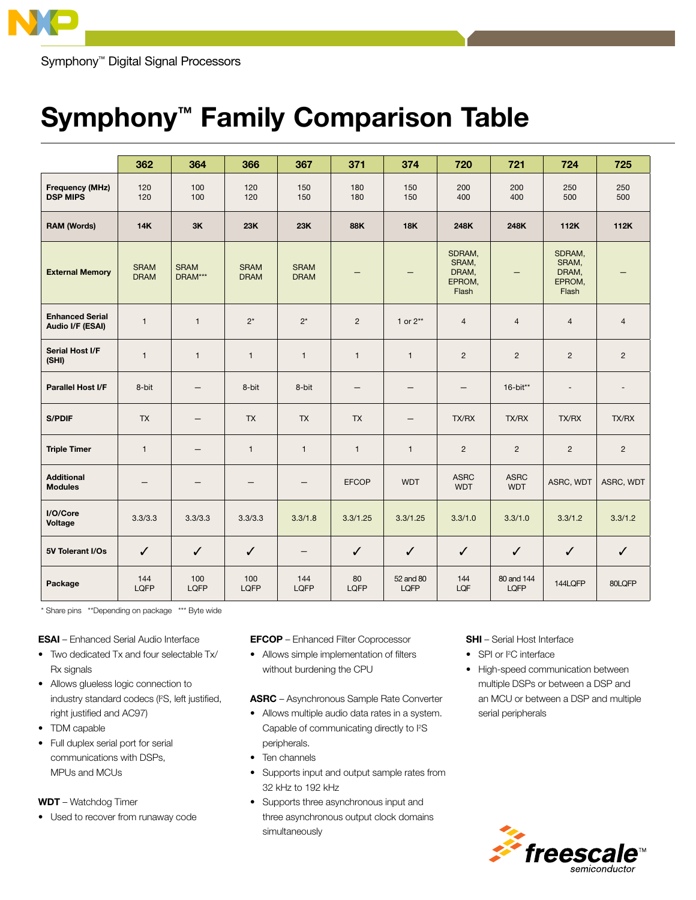

Symphony<sup>™</sup> Digital Signal Processors

## Symphony™ Family Comparison Table

|                                            | 362                        | 364                    | 366                        | 367                        | 371          | 374                      | 720                                         | 721                       | 724                                         | 725            |
|--------------------------------------------|----------------------------|------------------------|----------------------------|----------------------------|--------------|--------------------------|---------------------------------------------|---------------------------|---------------------------------------------|----------------|
| <b>Frequency (MHz)</b><br><b>DSP MIPS</b>  | 120<br>120                 | 100<br>100             | 120<br>120                 | 150<br>150                 | 180<br>180   | 150<br>150               | 200<br>400                                  | 200<br>400                | 250<br>500                                  | 250<br>500     |
| <b>RAM (Words)</b>                         | <b>14K</b>                 | 3K                     | 23K                        | 23K                        | 88K          | <b>18K</b>               | 248K                                        | 248K                      | 112K                                        | 112K           |
| <b>External Memory</b>                     | <b>SRAM</b><br><b>DRAM</b> | <b>SRAM</b><br>DRAM*** | <b>SRAM</b><br><b>DRAM</b> | <b>SRAM</b><br><b>DRAM</b> |              |                          | SDRAM,<br>SRAM,<br>DRAM,<br>EPROM,<br>Flash |                           | SDRAM,<br>SRAM,<br>DRAM,<br>EPROM,<br>Flash |                |
| <b>Enhanced Serial</b><br>Audio I/F (ESAI) | $\mathbf{1}$               | $\mathbf{1}$           | $2^*$                      | $2^*$                      | 2            | 1 or $2^{**}$            | $\overline{4}$                              | $\overline{4}$            | $\overline{4}$                              | $\overline{4}$ |
| Serial Host I/F<br>(SHI)                   | $\mathbf{1}$               | $\mathbf{1}$           | $\mathbf{1}$               | $\mathbf{1}$               | $\mathbf{1}$ | $\mathbf{1}$             | $\overline{2}$                              | $\overline{c}$            | $\overline{2}$                              | $\overline{2}$ |
| <b>Parallel Host I/F</b>                   | 8-bit                      | $\qquad \qquad -$      | 8-bit                      | 8-bit                      |              | $\qquad \qquad -$        |                                             | 16-bit**                  | $\blacksquare$                              | $\blacksquare$ |
| <b>S/PDIF</b>                              | <b>TX</b>                  | $\qquad \qquad -$      | <b>TX</b>                  | <b>TX</b>                  | <b>TX</b>    | $\qquad \qquad -$        | TX/RX                                       | TX/RX                     | <b>TX/RX</b>                                | <b>TX/RX</b>   |
| <b>Triple Timer</b>                        | $\mathbf{1}$               | $\qquad \qquad -$      | $\mathbf{1}$               | $\mathbf{1}$               | $\mathbf{1}$ | $\mathbf{1}$             | $\overline{2}$                              | $\overline{2}$            | $\overline{2}$                              | $\overline{2}$ |
| <b>Additional</b><br><b>Modules</b>        |                            |                        |                            |                            | <b>EFCOP</b> | <b>WDT</b>               | <b>ASRC</b><br><b>WDT</b>                   | <b>ASRC</b><br><b>WDT</b> | ASRC, WDT                                   | ASRC, WDT      |
| I/O/Core<br>Voltage                        | 3.3/3.3                    | 3.3/3.3                | 3.3/3.3                    | 3.3/1.8                    | 3.3/1.25     | 3.3/1.25                 | 3.3/1.0                                     | 3.3/1.0                   | 3.3/1.2                                     | 3.3/1.2        |
| 5V Tolerant I/Os                           | $\checkmark$               | $\checkmark$           | $\checkmark$               |                            | ✓            | $\checkmark$             | $\checkmark$                                | $\checkmark$              | $\checkmark$                                | $\checkmark$   |
| Package                                    | 144<br>LQFP                | 100<br>LQFP            | 100<br><b>LOFP</b>         | 144<br>LQFP                | 80<br>LQFP   | 52 and 80<br><b>LQFP</b> | 144<br>LQF                                  | 80 and 144<br><b>LOFP</b> | 144LQFP                                     | 80LQFP         |

\* Share pins \*\*Depending on package \*\*\* Byte wide

**ESAI** – Enhanced Serial Audio Interface

- Two dedicated Tx and four selectable Tx/ Rx signals
- Allows glueless logic connection to industry standard codecs (I2 S, left justified, right justified and AC97)
- TDM capable
- Full duplex serial port for serial communications with DSPs, MPUs and MCUs

**WDT** – Watchdog Timer

• Used to recover from runaway code

**EFCOP** - Enhanced Filter Coprocessor

• Allows simple implementation of filters without burdening the CPU

**ASRC** - Asynchronous Sample Rate Converter

- Allows multiple audio data rates in a system. Capable of communicating directly to l<sup>2</sup>S peripherals.
- $\bullet$  Ten channels
- Supports input and output sample rates from 32 kHz to 192 kHz
- Supports three asynchronous input and three asynchronous output clock domains simultaneously

**SHI** – Serial Host Interface

- SPI or I<sup>2</sup>C interface
- High-speed communication between multiple DSPs or between a DSP and an MCU or between a DSP and multiple serial peripherals